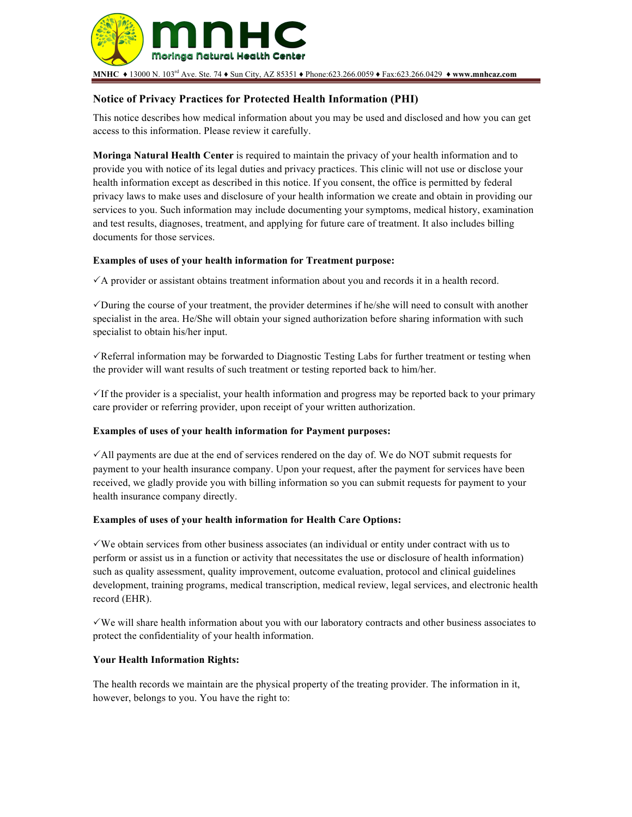

# **Notice of Privacy Practices for Protected Health Information (PHI)**

This notice describes how medical information about you may be used and disclosed and how you can get access to this information. Please review it carefully.

**Moringa Natural Health Center** is required to maintain the privacy of your health information and to provide you with notice of its legal duties and privacy practices. This clinic will not use or disclose your health information except as described in this notice. If you consent, the office is permitted by federal privacy laws to make uses and disclosure of your health information we create and obtain in providing our services to you. Such information may include documenting your symptoms, medical history, examination and test results, diagnoses, treatment, and applying for future care of treatment. It also includes billing documents for those services.

## **Examples of uses of your health information for Treatment purpose:**

 $\checkmark$  A provider or assistant obtains treatment information about you and records it in a health record.

 $\checkmark$  During the course of your treatment, the provider determines if he/she will need to consult with another specialist in the area. He/She will obtain your signed authorization before sharing information with such specialist to obtain his/her input.

 $\checkmark$  Referral information may be forwarded to Diagnostic Testing Labs for further treatment or testing when the provider will want results of such treatment or testing reported back to him/her.

 $\checkmark$  If the provider is a specialist, your health information and progress may be reported back to your primary care provider or referring provider, upon receipt of your written authorization.

# **Examples of uses of your health information for Payment purposes:**

 $\checkmark$  All payments are due at the end of services rendered on the day of. We do NOT submit requests for payment to your health insurance company. Upon your request, after the payment for services have been received, we gladly provide you with billing information so you can submit requests for payment to your health insurance company directly.

## **Examples of uses of your health information for Health Care Options:**

 $\checkmark$  We obtain services from other business associates (an individual or entity under contract with us to perform or assist us in a function or activity that necessitates the use or disclosure of health information) such as quality assessment, quality improvement, outcome evaluation, protocol and clinical guidelines development, training programs, medical transcription, medical review, legal services, and electronic health record (EHR).

 $\sqrt{W}$  we will share health information about you with our laboratory contracts and other business associates to protect the confidentiality of your health information.

## **Your Health Information Rights:**

The health records we maintain are the physical property of the treating provider. The information in it, however, belongs to you. You have the right to: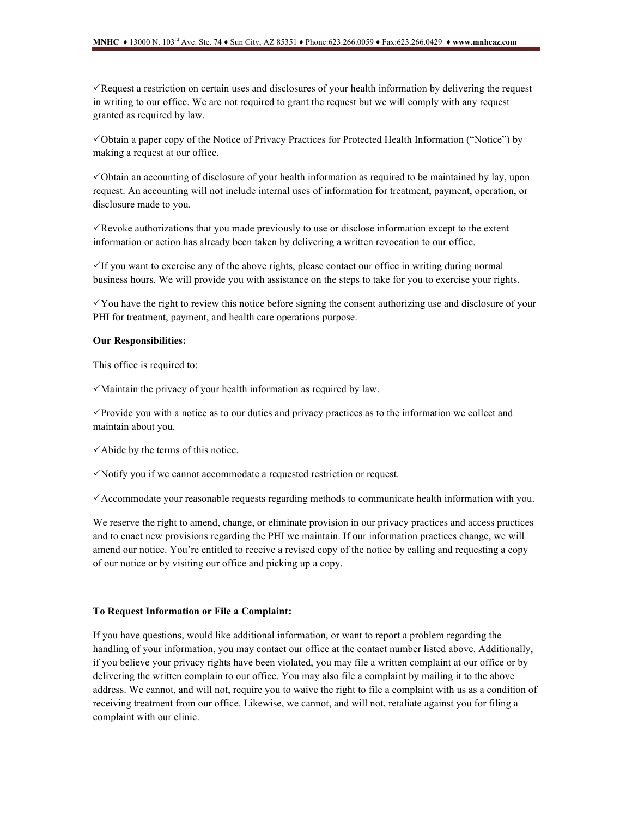$\checkmark$  Request a restriction on certain uses and disclosures of your health information by delivering the request in writing to our office. We are not required to grant the request but we will comply with any request granted as required by law.

!Obtain a paper copy of the Notice of Privacy Practices for Protected Health Information ("Notice") by making a request at our office.

 $\checkmark$  Obtain an accounting of disclosure of your health information as required to be maintained by lay, upon request. An accounting will not include internal uses of information for treatment, payment, operation, or disclosure made to you.

 $\sqrt{\text{Revol}}$  Revoke authorizations that you made previously to use or disclose information except to the extent information or action has already been taken by delivering a written revocation to our office.

 $\checkmark$  If you want to exercise any of the above rights, please contact our office in writing during normal business hours. We will provide you with assistance on the steps to take for you to exercise your rights.

 $\checkmark$  You have the right to review this notice before signing the consent authorizing use and disclosure of your PHI for treatment, payment, and health care operations purpose.

#### **Our Responsibilities:**

This office is required to:

 $\checkmark$  Maintain the privacy of your health information as required by law.

 $\checkmark$  Provide you with a notice as to our duties and privacy practices as to the information we collect and maintain about you.

 $\checkmark$  Abide by the terms of this notice.

 $\checkmark$  Notify you if we cannot accommodate a requested restriction or request.

 $\checkmark$  Accommodate your reasonable requests regarding methods to communicate health information with you.

We reserve the right to amend, change, or eliminate provision in our privacy practices and access practices and to enact new provisions regarding the PHI we maintain. If our information practices change, we will amend our notice. You're entitled to receive a revised copy of the notice by calling and requesting a copy of our notice or by visiting our office and picking up a copy.

#### **To Request Information or File a Complaint:**

If you have questions, would like additional information, or want to report a problem regarding the handling of your information, you may contact our office at the contact number listed above. Additionally, if you believe your privacy rights have been violated, you may file a written complaint at our office or by delivering the written complain to our office. You may also file a complaint by mailing it to the above address. We cannot, and will not, require you to waive the right to file a complaint with us as a condition of receiving treatment from our office. Likewise, we cannot, and will not, retaliate against you for filing a complaint with our clinic.